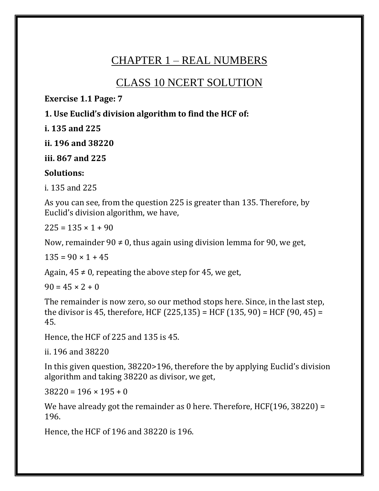# CHAPTER 1 – REAL NUMBERS

# CLASS 10 NCERT SOLUTION

**Exercise 1.1 Page: 7**

**1. Use Euclid's division algorithm to find the HCF of:**

**i. 135 and 225**

**ii. 196 and 38220**

**iii. 867 and 225**

#### **Solutions:**

i. 135 and 225

As you can see, from the question 225 is greater than 135. Therefore, by Euclid's division algorithm, we have,

 $225 = 135 \times 1 + 90$ 

Now, remainder 90  $\neq$  0, thus again using division lemma for 90, we get,

 $135 = 90 \times 1 + 45$ 

Again,  $45 \neq 0$ , repeating the above step for 45, we get,

 $90 = 45 \times 2 + 0$ 

The remainder is now zero, so our method stops here. Since, in the last step, the divisor is 45, therefore, HCF (225,135) = HCF (135, 90) = HCF (90, 45) = 45.

Hence, the HCF of 225 and 135 is 45.

ii. 196 and 38220

In this given question, 38220>196, therefore the by applying Euclid's division algorithm and taking 38220 as divisor, we get,

 $38220 = 196 \times 195 + 0$ 

We have already got the remainder as 0 here. Therefore, HCF(196, 38220) = 196.

Hence, the HCF of 196 and 38220 is 196.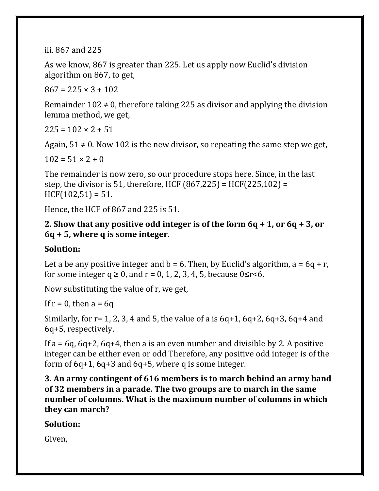iii. 867 and 225

As we know, 867 is greater than 225. Let us apply now Euclid's division algorithm on 867, to get,

 $867 = 225 \times 3 + 102$ 

Remainder  $102 \neq 0$ , therefore taking 225 as divisor and applying the division lemma method, we get,

 $225 = 102 \times 2 + 51$ 

Again,  $51 \neq 0$ . Now 102 is the new divisor, so repeating the same step we get,

 $102 = 51 \times 2 + 0$ 

The remainder is now zero, so our procedure stops here. Since, in the last step, the divisor is 51, therefore, HCF  $(867, 225) = HCF(225, 102) =$  $HCF(102.51) = 51.$ 

Hence, the HCF of 867 and 225 is 51.

### **2. Show that any positive odd integer is of the form 6q + 1, or 6q + 3, or 6q + 5, where q is some integer.**

### **Solution:**

Let a be any positive integer and  $b = 6$ . Then, by Euclid's algorithm,  $a = 6q + r$ , for some integer  $q \ge 0$ , and  $r = 0, 1, 2, 3, 4, 5$ , because  $0 \le r \le 6$ .

Now substituting the value of r, we get,

If  $r = 0$ , then  $a = 6q$ 

Similarly, for  $r= 1, 2, 3, 4$  and 5, the value of a is  $6q+1$ ,  $6q+2$ ,  $6q+3$ ,  $6q+4$  and 6q+5, respectively.

If  $a = 6q$ ,  $6q+2$ ,  $6q+4$ , then a is an even number and divisible by 2. A positive integer can be either even or odd Therefore, any positive odd integer is of the form of  $6q+1$ ,  $6q+3$  and  $6q+5$ , where q is some integer.

**3. An army contingent of 616 members is to march behind an army band of 32 members in a parade. The two groups are to march in the same number of columns. What is the maximum number of columns in which they can march?**

**Solution:**

Given,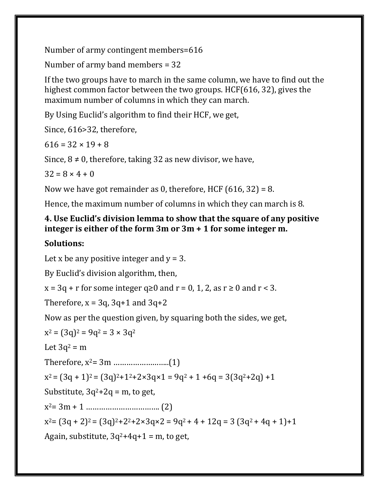Number of army contingent members=616

Number of army band members = 32

If the two groups have to march in the same column, we have to find out the highest common factor between the two groups. HCF(616, 32), gives the maximum number of columns in which they can march.

By Using Euclid's algorithm to find their HCF, we get,

Since, 616>32, therefore,

 $616 = 32 \times 19 + 8$ 

Since,  $8 \neq 0$ , therefore, taking 32 as new divisor, we have,

 $32 = 8 \times 4 + 0$ 

Now we have got remainder as 0, therefore, HCF  $(616, 32) = 8$ .

Hence, the maximum number of columns in which they can march is 8.

### **4. Use Euclid's division lemma to show that the square of any positive integer is either of the form 3m or 3m + 1 for some integer m.**

## **Solutions:**

Let x be any positive integer and  $y = 3$ .

By Euclid's division algorithm, then,

 $x = 3q + r$  for some integer  $q \ge 0$  and  $r = 0, 1, 2$ , as  $r \ge 0$  and  $r < 3$ .

Therefore,  $x = 3q$ ,  $3q+1$  and  $3q+2$ 

Now as per the question given, by squaring both the sides, we get,

 $x^2 = (3q)^2 = 9q^2 = 3 \times 3q^2$ 

Let  $3q^2 = m$ 

Therefore, x2= 3m ……………………..(1)

 $x^2 = (3q + 1)^2 = (3q)^2 + 1^2 + 2 \times 3q \times 1 = 9q^2 + 1 + 6q = 3(3q^2 + 2q) + 1$ 

Substitute,  $3q^2+2q = m$ , to get,

x <sup>2</sup>= 3m + 1 ……………………………. (2)

 $x^2 = (3q + 2)^2 = (3q)^2 + 2^2 + 2 \times 3q \times 2 = 9q^2 + 4 + 12q = 3(3q^2 + 4q + 1) + 1$ 

Again, substitute,  $3q^2+4q+1 = m$ , to get,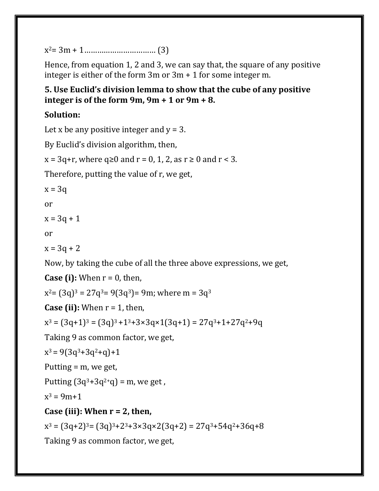x <sup>2</sup>= 3m + 1…………………………… (3)

Hence, from equation 1, 2 and 3, we can say that, the square of any positive integer is either of the form 3m or 3m + 1 for some integer m.

### **5. Use Euclid's division lemma to show that the cube of any positive integer is of the form 9m, 9m + 1 or 9m + 8.**

### **Solution:**

Let x be any positive integer and  $y = 3$ .

By Euclid's division algorithm, then,

```
x = 3q+r, where q \ge 0 and r = 0, 1, 2, as r \ge 0 and r < 3.
```
Therefore, putting the value of r, we get,

 $x = 3q$ 

or

 $x = 3q + 1$ 

or

 $x = 3q + 2$ 

Now, by taking the cube of all the three above expressions, we get,

**Case (i):** When  $r = 0$ , then,

 $x^2$ = (3q)<sup>3</sup> = 27q<sup>3</sup>= 9(3q<sup>3</sup>)= 9m; where m = 3q<sup>3</sup>

**Case (ii):** When  $r = 1$ , then,

 $x^3 = (3q+1)^3 = (3q)^3 + 1^3 + 3 \times 3q \times 1(3q+1) = 27q^3 + 1 + 27q^2 + 9q$ 

Taking 9 as common factor, we get,

```
x^3 = 9(3q^3 + 3q^2 + q) + 1
```
Putting = m, we get,

Putting  $(3q^3 + 3q^2 + q) = m$ , we get,

 $x^3 = 9m+1$ 

## **Case (iii): When r = 2, then,**

 $x^3 = (3q+2)^3 = (3q)^3 + 2^3 + 3 \times 3q \times 2(3q+2) = 27q^3 + 54q^2 + 36q + 8$ 

Taking 9 as common factor, we get,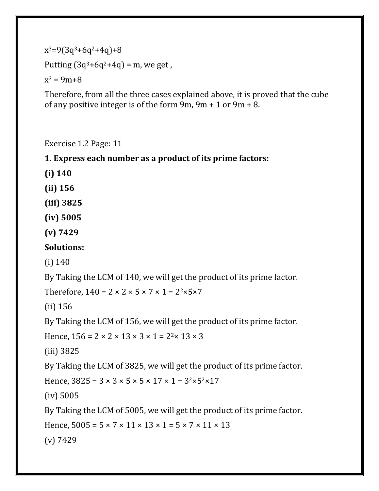```
x^3=9(3q^3+6q^2+4q)+8Putting (3q^3 + 6q^2 + 4q) = m, we get,
x^3 = 9m+8
```
Therefore, from all the three cases explained above, it is proved that the cube of any positive integer is of the form 9m, 9m + 1 or 9m + 8.

Exercise 1.2 Page: 11

**1. Express each number as a product of its prime factors:**

**(i) 140**

**(ii) 156**

**(iii) 3825**

**(iv) 5005**

**(v) 7429**

**Solutions:**

(i) 140

By Taking the LCM of 140, we will get the product of its prime factor.

Therefore,  $140 = 2 \times 2 \times 5 \times 7 \times 1 = 2^2 \times 5 \times 7$ 

(ii) 156

By Taking the LCM of 156, we will get the product of its prime factor.

```
Hence, 156 = 2 \times 2 \times 13 \times 3 \times 1 = 2^{2} \times 13 \times 3
```
(iii) 3825

By Taking the LCM of 3825, we will get the product of its prime factor.

Hence,  $3825 = 3 \times 3 \times 5 \times 5 \times 17 \times 1 = 3^{2} \times 5^{2} \times 17$ 

(iv) 5005

By Taking the LCM of 5005, we will get the product of its prime factor.

Hence,  $5005 = 5 \times 7 \times 11 \times 13 \times 1 = 5 \times 7 \times 11 \times 13$ 

(v) 7429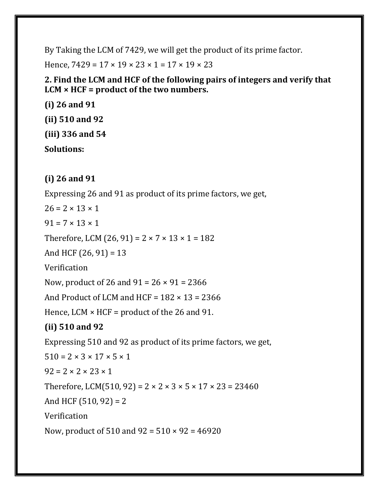By Taking the LCM of 7429, we will get the product of its prime factor.

Hence,  $7429 = 17 \times 19 \times 23 \times 1 = 17 \times 19 \times 23$ 

**2. Find the LCM and HCF of the following pairs of integers and verify that LCM × HCF = product of the two numbers.**

**(i) 26 and 91 (ii) 510 and 92 (iii) 336 and 54 Solutions:**

### **(i) 26 and 91**

Expressing 26 and 91 as product of its prime factors, we get,

 $26 = 2 \times 13 \times 1$ 

 $91 = 7 \times 13 \times 1$ 

Therefore, LCM  $(26, 91) = 2 \times 7 \times 13 \times 1 = 182$ 

And HCF  $(26, 91) = 13$ 

Verification

Now, product of 26 and  $91 = 26 \times 91 = 2366$ 

And Product of LCM and HCF =  $182 \times 13 = 2366$ 

Hence, LCM  $\times$  HCF = product of the 26 and 91.

## **(ii) 510 and 92**

Expressing 510 and 92 as product of its prime factors, we get,  $510 = 2 \times 3 \times 17 \times 5 \times 1$  $92 = 2 \times 2 \times 23 \times 1$ Therefore, LCM(510, 92) =  $2 \times 2 \times 3 \times 5 \times 17 \times 23 = 23460$ And HCF  $(510, 92) = 2$ Verification Now, product of 510 and 92 = 510 × 92 = 46920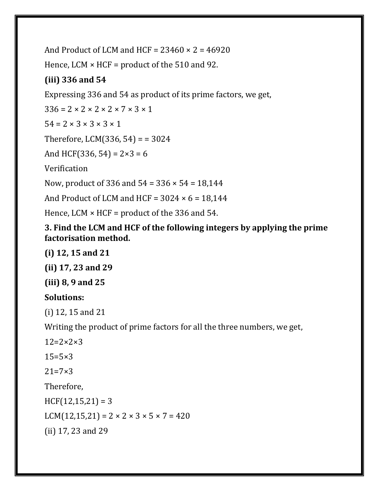And Product of LCM and HCF =  $23460 \times 2 = 46920$ Hence, LCM  $\times$  HCF = product of the 510 and 92. **(iii) 336 and 54** Expressing 336 and 54 as product of its prime factors, we get,  $336 = 2 \times 2 \times 2 \times 2 \times 7 \times 3 \times 1$  $54 = 2 \times 3 \times 3 \times 3 \times 1$ Therefore, LCM $(336, 54) = 3024$ And HCF(336, 54) =  $2 \times 3 = 6$ Verification Now, product of 336 and 54 = 336 × 54 = 18,144 And Product of LCM and HCF =  $3024 \times 6 = 18,144$ Hence, LCM  $\times$  HCF = product of the 336 and 54.

**3. Find the LCM and HCF of the following integers by applying the prime factorisation method.**

### **(i) 12, 15 and 21**

**(ii) 17, 23 and 29**

**(iii) 8, 9 and 25**

### **Solutions:**

(i) 12, 15 and 21

Writing the product of prime factors for all the three numbers, we get,

 $12=2\times2\times3$ 

 $15 = 5 \times 3$ 

 $21 = 7 \times 3$ 

Therefore,

 $HCF(12, 15, 21) = 3$ LCM(12,15,21) =  $2 \times 2 \times 3 \times 5 \times 7 = 420$ (ii) 17, 23 and 29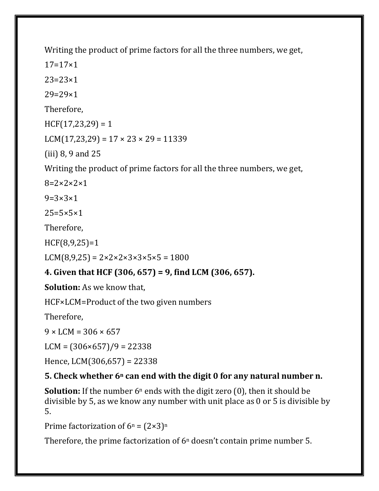Writing the product of prime factors for all the three numbers, we get,

 $17=17\times1$ 

 $23=23\times1$ 

29=29×1

Therefore,

 $HCF(17, 23, 29) = 1$ 

LCM(17,23,29) =  $17 \times 23 \times 29 = 11339$ 

(iii) 8, 9 and 25

Writing the product of prime factors for all the three numbers, we get,

 $8=2\times2\times2\times1$ 

 $9 = 3 \times 3 \times 1$ 

 $25=5\times5\times1$ 

Therefore,

HCF(8,9,25)=1

 $LCM(8,9,25) = 2 \times 2 \times 2 \times 3 \times 3 \times 5 \times 5 = 1800$ 

## **4. Given that HCF (306, 657) = 9, find LCM (306, 657).**

**Solution:** As we know that,

HCF×LCM=Product of the two given numbers

Therefore,

 $9 \times LCM = 306 \times 657$ 

 $LCM = (306 \times 657)/9 = 22338$ 

Hence, LCM(306,657) = 22338

### **5. Check whether 6<sup>n</sup> can end with the digit 0 for any natural number n.**

**Solution:** If the number  $6^n$  ends with the digit zero  $(0)$ , then it should be divisible by 5, as we know any number with unit place as 0 or 5 is divisible by 5.

Prime factorization of  $6^n = (2 \times 3)^n$ 

Therefore, the prime factorization of  $6<sup>n</sup>$  doesn't contain prime number 5.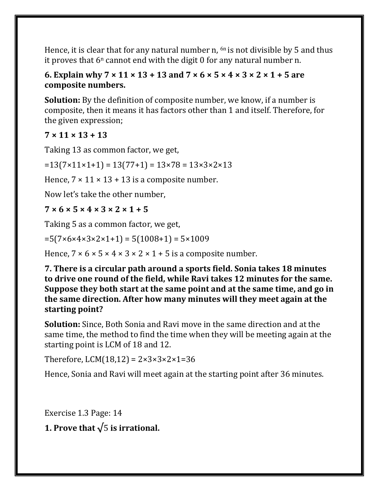Hence, it is clear that for any natural number n,  $6n$  is not divisible by 5 and thus it proves that  $6^n$  cannot end with the digit 0 for any natural number n.

#### **6. Explain why 7 × 11 × 13 + 13 and 7 × 6 × 5 × 4 × 3 × 2 × 1 + 5 are composite numbers.**

**Solution:** By the definition of composite number, we know, if a number is composite, then it means it has factors other than 1 and itself. Therefore, for the given expression;

### **7 × 11 × 13 + 13**

Taking 13 as common factor, we get,

 $=13(7\times11\times1+1) = 13(77+1) = 13\times78 = 13\times3\times2\times13$ 

Hence,  $7 \times 11 \times 13 + 13$  is a composite number.

Now let's take the other number,

### **7 × 6 × 5 × 4 × 3 × 2 × 1 + 5**

Taking 5 as a common factor, we get,

 $=5(7\times6\times4\times3\times2\times1+1)=5(1008+1)=5\times1009$ 

Hence,  $7 \times 6 \times 5 \times 4 \times 3 \times 2 \times 1 + 5$  is a composite number.

**7. There is a circular path around a sports field. Sonia takes 18 minutes to drive one round of the field, while Ravi takes 12 minutes for the same. Suppose they both start at the same point and at the same time, and go in the same direction. After how many minutes will they meet again at the starting point?**

**Solution:** Since, Both Sonia and Ravi move in the same direction and at the same time, the method to find the time when they will be meeting again at the starting point is LCM of 18 and 12.

Therefore, LCM(18,12) =  $2 \times 3 \times 3 \times 2 \times 1 = 36$ 

Hence, Sonia and Ravi will meet again at the starting point after 36 minutes.

Exercise 1.3 Page: 14

```
1. Prove that √5 is irrational.
```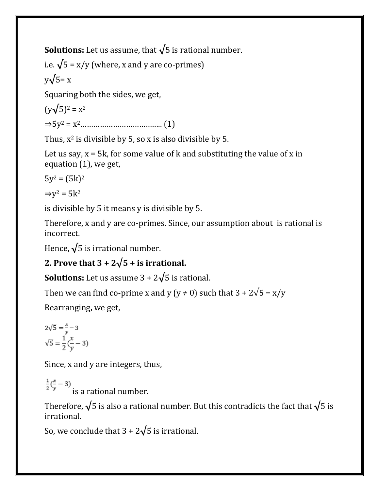**Solutions:** Let us assume, that **√**5 is rational number.

i.e.  $\sqrt{5}$  = x/y (where, x and y are co-primes)

$$
y\sqrt{5} = x
$$

Squaring both the sides, we get,

(y**√**5)<sup>2</sup> = x<sup>2</sup> ⇒5y<sup>2</sup> = x2……………………………….. (1)

Thus,  $x^2$  is divisible by 5, so x is also divisible by 5.

Let us say,  $x = 5k$ , for some value of  $k$  and substituting the value of  $x$  in equation (1), we get,

 $5y^2 = (5k)^2$ 

 $\Rightarrow y^2 = 5k^2$ 

is divisible by 5 it means y is divisible by 5.

Therefore, x and y are co-primes. Since, our assumption about is rational is incorrect.

Hence, **√**5 is irrational number.

# 2. Prove that  $3 + 2\sqrt{5} +$  is irrational.

**Solutions:** Let us assume  $3 + 2\sqrt{5}$  is rational.

Then we can find co-prime x and y (y  $\neq$  0) such that 3 + 2 $\sqrt{5}$  = x/y

Rearranging, we get,

$$
2\sqrt{5} = \frac{x}{y} - 3
$$

$$
\sqrt{5} = \frac{1}{2}(\frac{x}{y} - 3)
$$

Since, x and y are integers, thus,

 $\frac{1}{2}(\frac{x}{y}-3)$  is a rational number.

Therefore,  $\sqrt{5}$  is also a rational number. But this contradicts the fact that  $\sqrt{5}$  is irrational.

So, we conclude that  $3 + 2\sqrt{5}$  is irrational.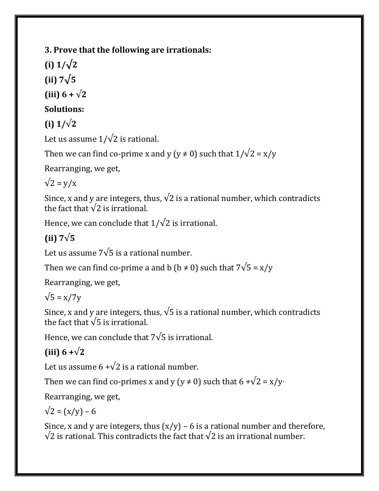**3. Prove that the following are irrationals:**

**(i) 1/√2**

**(ii) 7√5**

**(iii)**  $6 + \sqrt{2}$ 

## **Solutions:**

**(i) 1/**√**2**

Let us assume  $1/\sqrt{2}$  is rational.

Then we can find co-prime x and y (y  $\neq$  0) such that  $1/\sqrt{2} = x/y$ 

Rearranging, we get,

 $\sqrt{2} = y/x$ 

Since, x and y are integers, thus,  $\sqrt{2}$  is a rational number, which contradicts the fact that  $\sqrt{2}$  is irrational.

Hence, we can conclude that  $1/\sqrt{2}$  is irrational.

# **(ii) 7**√**5**

Let us assume 7√5 is a rational number.

Then we can find co-prime a and b ( $b \ne 0$ ) such that  $7\sqrt{5} = x/y$ 

Rearranging, we get,

 $\sqrt{5}$  = x/7y

Since, x and y are integers, thus,  $\sqrt{5}$  is a rational number, which contradicts the fact that  $\sqrt{5}$  is irrational.

Hence, we can conclude that 7√5 is irrational.

# **(iii) 6 +**√**2**

Let us assume  $6 + \sqrt{2}$  is a rational number.

Then we can find co-primes x and y (y  $\neq$  0) such that 6 + $\sqrt{2}$  = x/y·

Rearranging, we get,

$$
\sqrt{2} = (x/y) - 6
$$

Since, x and y are integers, thus  $(x/y)$  – 6 is a rational number and therefore,  $\sqrt{2}$  is rational. This contradicts the fact that  $\sqrt{2}$  is an irrational number.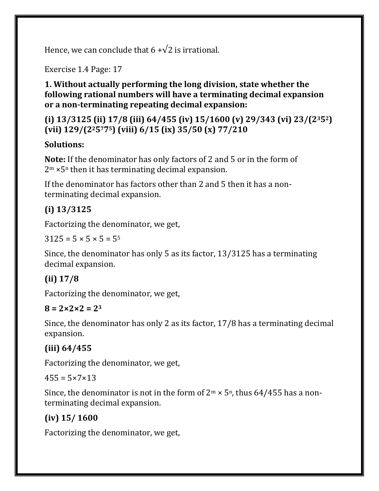Hence, we can conclude that  $6 + \sqrt{2}$  is irrational.

Exercise 1.4 Page: 17

**1. Without actually performing the long division, state whether the following rational numbers will have a terminating decimal expansion or a non-terminating repeating decimal expansion:**

## **(i) 13/3125 (ii) 17/8 (iii) 64/455 (iv) 15/1600 (v) 29/343 (vi) 23/(2352) (vii) 129/(225775) (viii) 6/15 (ix) 35/50 (x) 77/210**

## **Solutions:**

**Note:** If the denominator has only factors of 2 and 5 or in the form of  $2<sup>m</sup>$  × 5<sup>n</sup> then it has terminating decimal expansion.

If the denominator has factors other than 2 and 5 then it has a nonterminating decimal expansion.

# **(i) 13/3125**

Factorizing the denominator, we get,

 $3125 = 5 \times 5 \times 5 = 5^5$ 

Since, the denominator has only 5 as its factor, 13/3125 has a terminating decimal expansion.

# **(ii) 17/8**

Factorizing the denominator, we get,

### $8 = 2 \times 2 \times 2 = 2^3$

Since, the denominator has only 2 as its factor, 17/8 has a terminating decimal expansion.

## **(iii) 64/455**

Factorizing the denominator, we get,

 $455 = 5 \times 7 \times 13$ 

Since, the denominator is not in the form of  $2^m \times 5^n$ , thus 64/455 has a nonterminating decimal expansion.

# **(iv) 15/ 1600**

Factorizing the denominator, we get,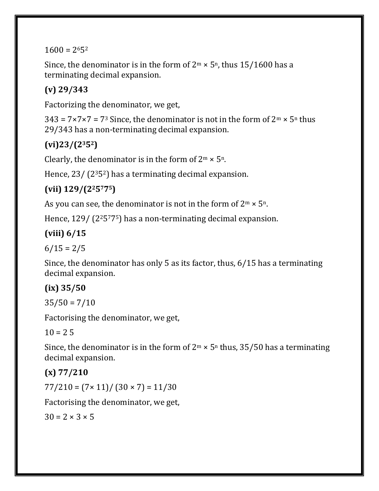$1600 = 2652$ 

Since, the denominator is in the form of  $2<sup>m</sup> \times 5<sup>n</sup>$ , thus 15/1600 has a terminating decimal expansion.

# **(v) 29/343**

Factorizing the denominator, we get,

 $343 = 7 \times 7 \times 7 = 73$  Since, the denominator is not in the form of  $2^m \times 5^n$  thus 29/343 has a non-terminating decimal expansion.

# **(vi)23/(2352)**

Clearly, the denominator is in the form of  $2^m \times 5^n$ .

Hence, 23/ (2352) has a terminating decimal expansion.

# **(vii) 129/(225775)**

As you can see, the denominator is not in the form of  $2^m \times 5^n$ .

Hence, 129/ (2<sup>2</sup>5<sup>775</sup>) has a non-terminating decimal expansion.

# **(viii) 6/15**

 $6/15 = 2/5$ 

Since, the denominator has only 5 as its factor, thus, 6/15 has a terminating decimal expansion.

# **(ix) 35/50**

 $35/50 = 7/10$ 

Factorising the denominator, we get,

 $10 = 25$ 

Since, the denominator is in the form of  $2^m \times 5^n$  thus, 35/50 has a terminating decimal expansion.

# **(x) 77/210**

 $77/210 = (7 \times 11) / (30 \times 7) = 11/30$ 

Factorising the denominator, we get,

 $30 = 2 \times 3 \times 5$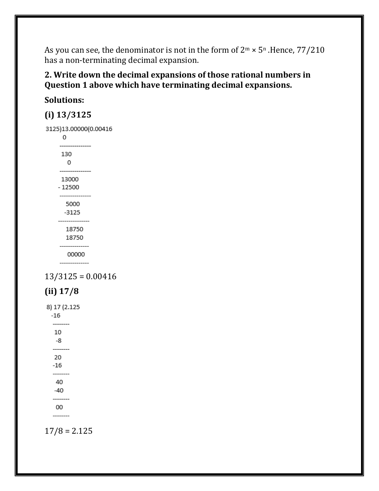As you can see, the denominator is not in the form of  $2^m \times 5^n$ . Hence,  $77/210$ has a non-terminating decimal expansion.

#### **2. Write down the decimal expansions of those rational numbers in Question 1 above which have terminating decimal expansions.**

## **Solutions:**

### **(i) 13/3125**

3125)13.00000(0.00416  $\mathbf 0$ 

130 0 ----------------13000  $-12500$ ---------------5000  $-3125$ --------------18750 18750 --------------00000 --------------

 $13/3125 = 0.00416$ 



8) 17 (2.125  $-16$ --------10 -8 --------20  $-16$ --------40  $-40$ --------00  $17/8 = 2.125$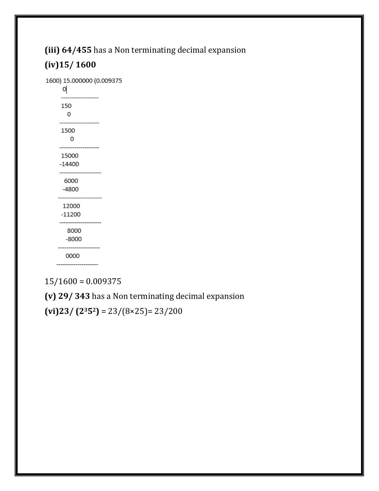# **(iii) 64/455** has a Non terminating decimal expansion **(iv)15/ 1600**

1600) 15.000000 (0.009375  $\mathsf{Q}$ ---------------150 0 ------------------1500 0 ------------------15000  $-14400$ --------------------6000  $-4800$ --------------------12000  $-11200$ -------------------8000  $-8000$ 0000 --------------------

 $15/1600 = 0.009375$ 

**(v) 29/ 343** has a Non terminating decimal expansion

**(vi)23/ (2352)** = 23/(8×25)= 23/200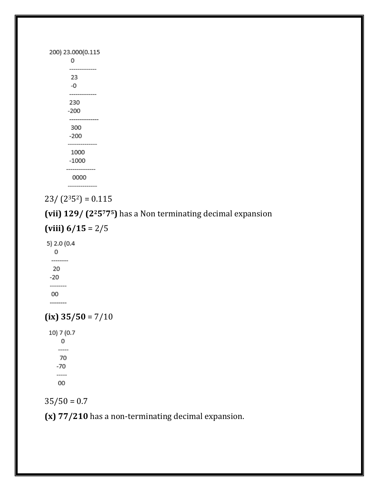| 200) 23.000(0.115<br>0 |  |
|------------------------|--|
| 23<br>-0               |  |
| 230<br>-200            |  |
| 300<br>-200            |  |
| 1000<br>$-1000$        |  |
| 0000                   |  |

 $23/ (2<sup>3</sup>5<sup>2</sup>) = 0.115$ 

**(vii) 129/ (225775)** has a Non terminating decimal expansion

**(viii) 6/15** = 2/5

5) 2.0 (0.4

0 --------20  $-20$ --------00 --------

 $(ix)$  35/50 = 7/10

10) 7 (0.7 0  $\overline{\phantom{a}}$ 70  $-70$ -----00

 $35/50 = 0.7$ 

**(x) 77/210** has a non-terminating decimal expansion.